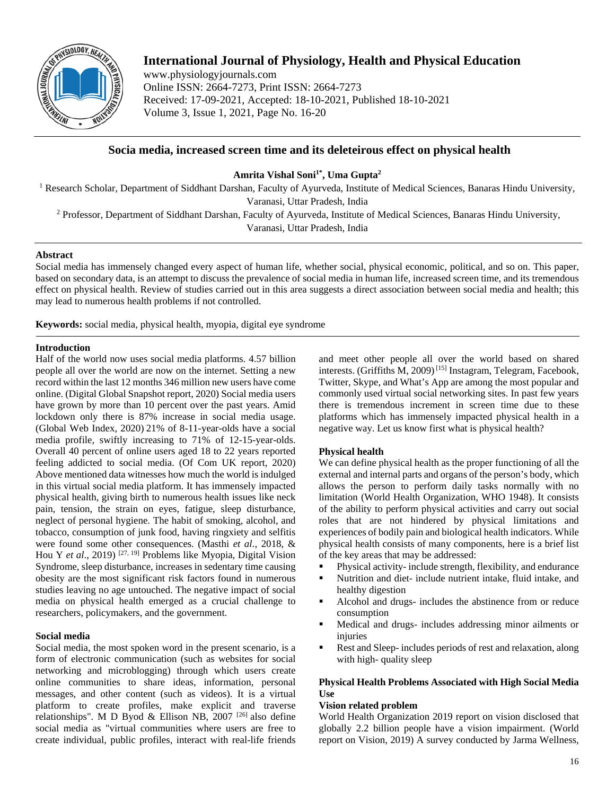

# **International Journal of Physiology, Health and Physical Education**

www.physiologyjournals.com Online ISSN: 2664-7273, Print ISSN: 2664-7273 Received: 17-09-2021, Accepted: 18-10-2021, Published 18-10-2021 Volume 3, Issue 1, 2021, Page No. 16-20

# **Socia media, increased screen time and its deleteirous effect on physical health**

Amrita Vishal Soni<sup>1\*</sup>, Uma Gupta<sup>2</sup>

<sup>1</sup> Research Scholar, Department of Siddhant Darshan, Faculty of Ayurveda, Institute of Medical Sciences, Banaras Hindu University, Varanasi, Uttar Pradesh, India

<sup>2</sup> Professor, Department of Siddhant Darshan, Faculty of Ayurveda, Institute of Medical Sciences, Banaras Hindu University,

Varanasi, Uttar Pradesh, India

## **Abstract**

Social media has immensely changed every aspect of human life, whether social, physical economic, political, and so on. This paper, based on secondary data, is an attempt to discuss the prevalence of social media in human life, increased screen time, and its tremendous effect on physical health. Review of studies carried out in this area suggests a direct association between social media and health; this may lead to numerous health problems if not controlled.

**Keywords:** social media, physical health, myopia, digital eye syndrome

# **Introduction**

Half of the world now uses social media platforms. 4.57 billion people all over the world are now on the internet. Setting a new record within the last 12 months 346 million new users have come online. (Digital Global Snapshot report, 2020) Social media users have grown by more than 10 percent over the past years. Amid lockdown only there is 87% increase in social media usage. (Global Web Index, 2020) 21% of 8-11-year-olds have a social media profile, swiftly increasing to 71% of 12-15-year-olds. Overall 40 percent of online users aged 18 to 22 years reported feeling addicted to social media. (Of Com UK report, 2020) Above mentioned data witnesses how much the world is indulged in this virtual social media platform. It has immensely impacted physical health, giving birth to numerous health issues like neck pain, tension, the strain on eyes, fatigue, sleep disturbance, neglect of personal hygiene. The habit of smoking, alcohol, and tobacco, consumption of junk food, having ringxiety and selfitis were found some other consequences. (Masthi *et al*., 2018, & Hou Y *et al*., 2019) [27, 19] Problems like Myopia, Digital Vision Syndrome, sleep disturbance, increases in sedentary time causing obesity are the most significant risk factors found in numerous studies leaving no age untouched. The negative impact of social media on physical health emerged as a crucial challenge to researchers, policymakers, and the government.

# **Social media**

Social media, the most spoken word in the present scenario, is a form of electronic communication (such as websites for social networking and microblogging) through which users create online communities to share ideas, information, personal messages, and other content (such as videos). It is a virtual platform to create profiles, make explicit and traverse relationships". M D Byod & Ellison NB, 2007 [26] also define social media as "virtual communities where users are free to create individual, public profiles, interact with real-life friends

and meet other people all over the world based on shared interests. (Griffiths M, 2009)<sup>[15]</sup> Instagram, Telegram, Facebook, Twitter, Skype, and What's App are among the most popular and commonly used virtual social networking sites. In past few years there is tremendous increment in screen time due to these platforms which has immensely impacted physical health in a negative way. Let us know first what is physical health?

# **Physical health**

We can define physical health as the proper functioning of all the external and internal parts and organs of the person's body, which allows the person to perform daily tasks normally with no limitation (World Health Organization, WHO 1948). It consists of the ability to perform physical activities and carry out social roles that are not hindered by physical limitations and experiences of bodily pain and biological health indicators. While physical health consists of many components, here is a brief list of the key areas that may be addressed:

- Physical activity- include strength, flexibility, and endurance
- Nutrition and diet- include nutrient intake, fluid intake, and
- healthy digestion Alcohol and drugs- includes the abstinence from or reduce consumption
- Medical and drugs- includes addressing minor ailments or injuries
- Rest and Sleep- includes periods of rest and relaxation, along with high- quality sleep

# **Physical Health Problems Associated with High Social Media Use**

# **Vision related problem**

World Health Organization 2019 report on vision disclosed that globally 2.2 billion people have a vision impairment. (World report on Vision, 2019) A survey conducted by Jarma Wellness,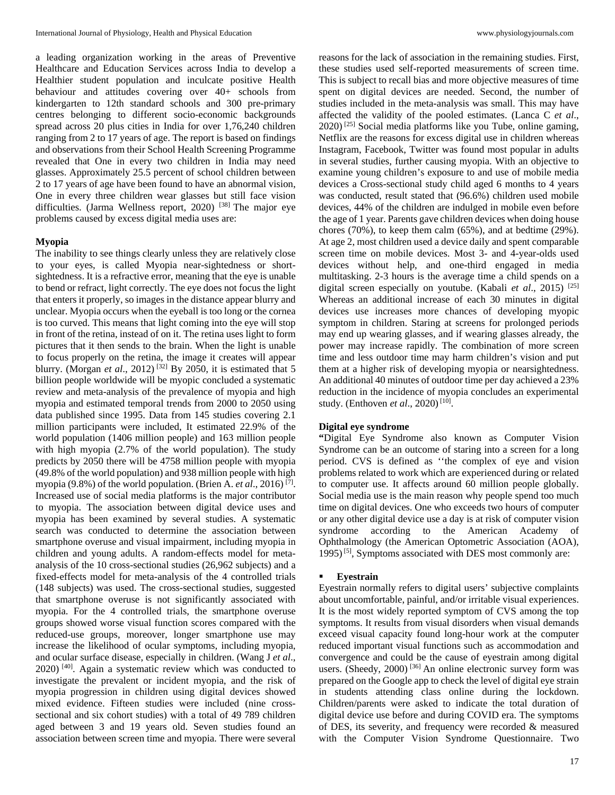a leading organization working in the areas of Preventive Healthcare and Education Services across India to develop a Healthier student population and inculcate positive Health behaviour and attitudes covering over 40+ schools from kindergarten to 12th standard schools and 300 pre-primary centres belonging to different socio-economic backgrounds spread across 20 plus cities in India for over 1,76,240 children ranging from 2 to 17 years of age. The report is based on findings and observations from their School Health Screening Programme revealed that One in every two children in India may need glasses. Approximately 25.5 percent of school children between 2 to 17 years of age have been found to have an abnormal vision, One in every three children wear glasses but still face vision difficulties. (Jarma Wellness report, 2020)<sup>[38]</sup> The major eye problems caused by excess digital media uses are:

## **Myopia**

The inability to see things clearly unless they are relatively close to your eyes, is called Myopia near-sightedness or shortsightedness. It is a refractive error, meaning that the eye is unable to bend or refract, light correctly. The eye does not focus the light that enters it properly, so images in the distance appear blurry and unclear. Myopia occurs when the eyeball is too long or the cornea is too curved. This means that light coming into the eye will stop in front of the retina, instead of on it. The retina uses light to form pictures that it then sends to the brain. When the light is unable to focus properly on the retina, the image it creates will appear blurry. (Morgan *et al.*, 2012)<sup>[32]</sup> By 2050, it is estimated that 5 billion people worldwide will be myopic concluded a systematic review and meta-analysis of the prevalence of myopia and high myopia and estimated temporal trends from 2000 to 2050 using data published since 1995. Data from 145 studies covering 2.1 million participants were included, It estimated 22.9% of the world population (1406 million people) and 163 million people with high myopia (2.7% of the world population). The study predicts by 2050 there will be 4758 million people with myopia (49.8% of the world population) and 938 million people with high myopia (9.8%) of the world population. (Brien A. *et al*., 2016) [7] . Increased use of social media platforms is the major contributor to myopia. The association between digital device uses and myopia has been examined by several studies. A systematic search was conducted to determine the association between smartphone overuse and visual impairment, including myopia in children and young adults. A random-effects model for metaanalysis of the 10 cross-sectional studies (26,962 subjects) and a fixed-effects model for meta-analysis of the 4 controlled trials (148 subjects) was used. The cross-sectional studies, suggested that smartphone overuse is not significantly associated with myopia. For the 4 controlled trials, the smartphone overuse groups showed worse visual function scores compared with the reduced-use groups, moreover, longer smartphone use may increase the likelihood of ocular symptoms, including myopia, and ocular surface disease, especially in children. (Wang J *et al*.,  $2020$ )<sup>[40]</sup>. Again a systematic review which was conducted to investigate the prevalent or incident myopia, and the risk of myopia progression in children using digital devices showed mixed evidence. Fifteen studies were included (nine crosssectional and six cohort studies) with a total of 49 789 children aged between 3 and 19 years old. Seven studies found an association between screen time and myopia. There were several

reasons for the lack of association in the remaining studies. First, these studies used self-reported measurements of screen time. This is subject to recall bias and more objective measures of time spent on digital devices are needed. Second, the number of studies included in the meta-analysis was small. This may have affected the validity of the pooled estimates. (Lanca C *et al*.,  $2020$ )  $^{[25]}$  Social media platforms like you Tube, online gaming, Netflix are the reasons for excess digital use in children whereas Instagram, Facebook, Twitter was found most popular in adults in several studies, further causing myopia. With an objective to examine young children's exposure to and use of mobile media devices a Cross-sectional study child aged 6 months to 4 years was conducted, result stated that (96.6%) children used mobile devices, 44% of the children are indulged in mobile even before the age of 1 year. Parents gave children devices when doing house chores (70%), to keep them calm (65%), and at bedtime (29%). At age 2, most children used a device daily and spent comparable screen time on mobile devices. Most 3- and 4-year-olds used devices without help, and one-third engaged in media multitasking. 2-3 hours is the average time a child spends on a digital screen especially on youtube. (Kabali *et al*., 2015) [25] Whereas an additional increase of each 30 minutes in digital devices use increases more chances of developing myopic symptom in children. Staring at screens for prolonged periods may end up wearing glasses, and if wearing glasses already, the power may increase rapidly. The combination of more screen time and less outdoor time may harm children's vision and put them at a higher risk of developing myopia or nearsightedness. An additional 40 minutes of outdoor time per day achieved a 23% reduction in the incidence of myopia concludes an experimental study. (Enthoven *et al.*, 2020)<sup>[10]</sup>.

#### **Digital eye syndrome**

**"**Digital Eye Syndrome also known as Computer Vision Syndrome can be an outcome of staring into a screen for a long period. CVS is defined as ''the complex of eye and vision problems related to work which are experienced during or related to computer use. It affects around 60 million people globally. Social media use is the main reason why people spend too much time on digital devices. One who exceeds two hours of computer or any other digital device use a day is at risk of computer vision syndrome according to the American Academy of Ophthalmology (the American Optometric Association (AOA), 1995)<sup>[5]</sup>, Symptoms associated with DES most commonly are:

#### **Eyestrain**

Eyestrain normally refers to digital users' subjective complaints about uncomfortable, painful, and/or irritable visual experiences. It is the most widely reported symptom of CVS among the top symptoms. It results from visual disorders when visual demands exceed visual capacity found long-hour work at the computer reduced important visual functions such as accommodation and convergence and could be the cause of eyestrain among digital users. (Sheedy, 2000)<sup>[36]</sup> An online electronic survey form was prepared on the Google app to check the level of digital eye strain in students attending class online during the lockdown. Children/parents were asked to indicate the total duration of digital device use before and during COVID era. The symptoms of DES, its severity, and frequency were recorded & measured with the Computer Vision Syndrome Questionnaire. Two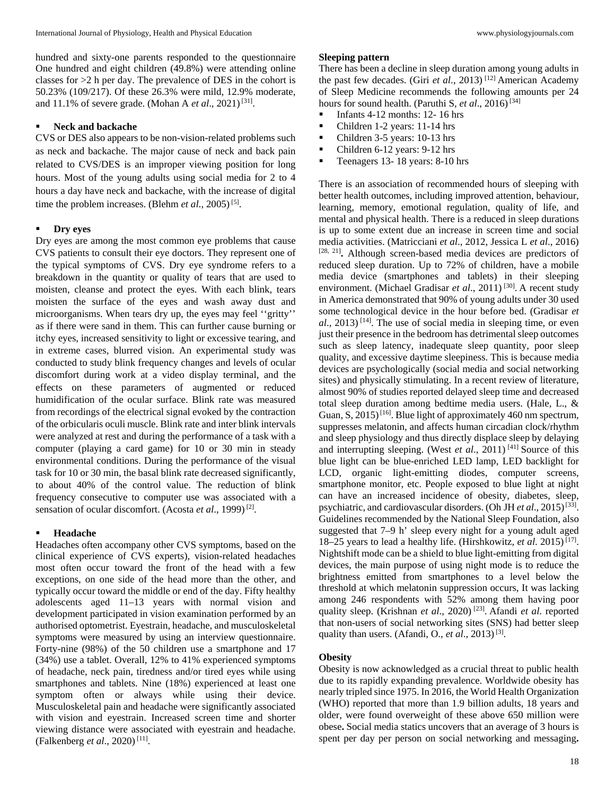hundred and sixty-one parents responded to the questionnaire One hundred and eight children (49.8%) were attending online classes for >2 h per day. The prevalence of DES in the cohort is 50.23% (109/217). Of these 26.3% were mild, 12.9% moderate, and 11.1% of severe grade. (Mohan A *et al.*, 2021)<sup>[31]</sup>.

### **Neck and backache**

CVS or DES also appears to be non-vision-related problems such as neck and backache. The major cause of neck and back pain related to CVS/DES is an improper viewing position for long hours. Most of the young adults using social media for 2 to 4 hours a day have neck and backache, with the increase of digital time the problem increases. (Blehm *et al.*, 2005)<sup>[5]</sup>.

#### **Dry eyes**

Dry eyes are among the most common eye problems that cause CVS patients to consult their eye doctors. They represent one of the typical symptoms of CVS. Dry eye syndrome refers to a breakdown in the quantity or quality of tears that are used to moisten, cleanse and protect the eyes. With each blink, tears moisten the surface of the eyes and wash away dust and microorganisms. When tears dry up, the eyes may feel ''gritty'' as if there were sand in them. This can further cause burning or itchy eyes, increased sensitivity to light or excessive tearing, and in extreme cases, blurred vision. An experimental study was conducted to study blink frequency changes and levels of ocular discomfort during work at a video display terminal, and the effects on these parameters of augmented or reduced humidification of the ocular surface. Blink rate was measured from recordings of the electrical signal evoked by the contraction of the orbicularis oculi muscle. Blink rate and inter blink intervals were analyzed at rest and during the performance of a task with a computer (playing a card game) for 10 or 30 min in steady environmental conditions. During the performance of the visual task for 10 or 30 min, the basal blink rate decreased significantly, to about 40% of the control value. The reduction of blink frequency consecutive to computer use was associated with a sensation of ocular discomfort. (Acosta et al., 1999)<sup>[2]</sup>.

#### **Headache**

Headaches often accompany other CVS symptoms, based on the clinical experience of CVS experts), vision-related headaches most often occur toward the front of the head with a few exceptions, on one side of the head more than the other, and typically occur toward the middle or end of the day. Fifty healthy adolescents aged 11–13 years with normal vision and development participated in vision examination performed by an authorised optometrist. Eyestrain, headache, and musculoskeletal symptoms were measured by using an interview questionnaire. Forty-nine (98%) of the 50 children use a smartphone and 17 (34%) use a tablet. Overall, 12% to 41% experienced symptoms of headache, neck pain, tiredness and/or tired eyes while using smartphones and tablets. Nine (18%) experienced at least one symptom often or always while using their device. Musculoskeletal pain and headache were significantly associated with vision and eyestrain. Increased screen time and shorter viewing distance were associated with eyestrain and headache. (Falkenberg *et al.*, 2020)<sup>[11]</sup>.

#### **Sleeping pattern**

There has been a decline in sleep duration among young adults in the past few decades. (Giri *et al*., 2013) [12] American Academy of Sleep Medicine recommends the following amounts per 24 hours for sound health. (Paruthi S, *et al.*, 2016)<sup>[34]</sup>

- Infants 4-12 months: 12- 16 hrs
- Children 1-2 years: 11-14 hrs
- Children 3-5 years: 10-13 hrs
- Children 6-12 years: 9-12 hrs
- Teenagers 13- 18 years: 8-10 hrs

There is an association of recommended hours of sleeping with better health outcomes, including improved attention, behaviour, learning, memory, emotional regulation, quality of life, and mental and physical health. There is a reduced in sleep durations is up to some extent due an increase in screen time and social media activities. (Matricciani *et al*., 2012, Jessica L *et al*., 2016) [28, 21] **.** Although screen-based media devices are predictors of reduced sleep duration. Up to 72% of children, have a mobile media device (smartphones and tablets) in their sleeping environment. (Michael Gradisar et al., 2011)<sup>[30]</sup>. A recent study in America demonstrated that 90% of young adults under 30 used some technological device in the hour before bed. (Gradisar *et al*., 2013) [14] . The use of social media in sleeping time, or even just their presence in the bedroom has detrimental sleep outcomes such as sleep latency, inadequate sleep quantity, poor sleep quality, and excessive daytime sleepiness. This is because media devices are psychologically (social media and social networking sites) and physically stimulating. In a recent review of literature, almost 90% of studies reported delayed sleep time and decreased total sleep duration among bedtime media users. (Hale, L., & Guan, S, 2015)<sup>[16]</sup>. Blue light of approximately 460 nm spectrum, suppresses melatonin, and affects human circadian clock/rhythm and sleep physiology and thus directly displace sleep by delaying and interrupting sleeping. (West *et al.*, 2011)<sup>[41]</sup> Source of this blue light can be blue-enriched LED lamp, LED backlight for LCD, organic light-emitting diodes, computer screens, smartphone monitor, etc. People exposed to blue light at night can have an increased incidence of obesity, diabetes, sleep, psychiatric, and cardiovascular disorders. (Oh JH *et al.*, 2015)<sup>[33]</sup>. Guidelines recommended by the National Sleep Foundation, also suggested that 7–9 h' sleep every night for a young adult aged 18–25 years to lead a healthy life. (Hirshkowitz, *et al*. 2015) [17] . Nightshift mode can be a shield to blue light-emitting from digital devices, the main purpose of using night mode is to reduce the brightness emitted from smartphones to a level below the threshold at which melatonin suppression occurs, It was lacking among 246 respondents with 52% among them having poor quality sleep. (Krishnan *et al.*, 2020)<sup>[23]</sup>. Afandi *et al.* reported that non-users of social networking sites (SNS) had better sleep quality than users. (Afandi, O., *et al.*, 2013)<sup>[3]</sup>.

### **Obesity**

Obesity is now acknowledged as a crucial threat to public health due to its rapidly expanding prevalence. Worldwide obesity has nearly tripled since 1975. In 2016, the World Health Organization (WHO) reported that more than 1.9 billion adults, 18 years and older, were found overweight of these above 650 million were obese**.** Social media statics uncovers that an average of 3 hours is spent per day per person on social networking and messaging**.**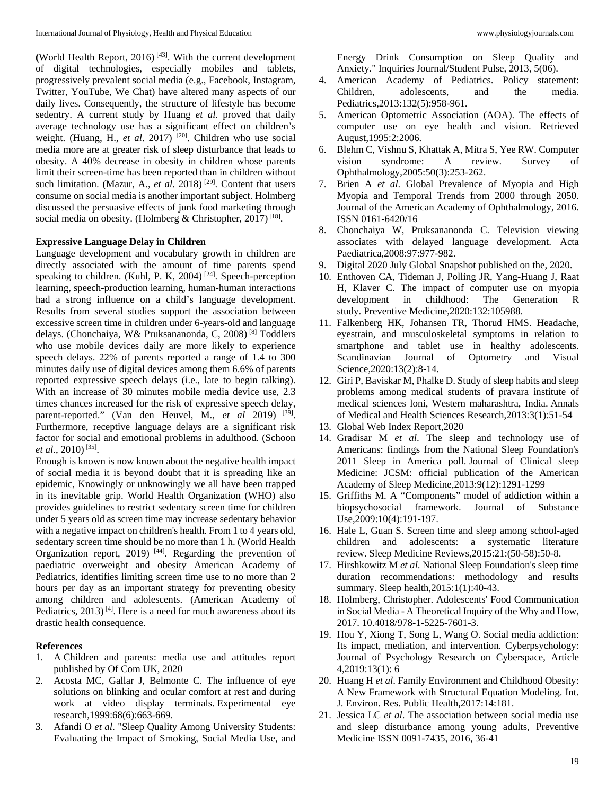(World Health Report,  $2016$ )<sup>[43]</sup>. With the current development of digital technologies, especially mobiles and tablets, progressively prevalent social media (e.g., Facebook, Instagram, Twitter, YouTube, We Chat) have altered many aspects of our daily lives. Consequently, the structure of lifestyle has become sedentry. A current study by Huang *et al*. proved that daily average technology use has a significant effect on children's weight. (Huang, H., et al. 2017)<sup>[20]</sup>. Children who use social media more are at greater risk of sleep disturbance that leads to obesity. A 40% decrease in obesity in children whose parents limit their screen-time has been reported than in children without such limitation. (Mazur, A., *et al.* 2018)<sup>[29]</sup>. Content that users consume on social media is another important subject. Holmberg discussed the persuasive effects of junk food marketing through social media on obesity. (Holmberg & Christopher, 2017)<sup>[18]</sup>.

### **Expressive Language Delay in Children**

Language development and vocabulary growth in children are directly associated with the amount of time parents spend speaking to children. (Kuhl, P. K, 2004)<sup>[24]</sup>. Speech-perception learning, speech-production learning, human-human interactions had a strong influence on a child's language development. Results from several studies support the association between excessive screen time in children under 6-years-old and language delays. (Chonchaiya, W& Pruksananonda, C, 2008) [8] Toddlers who use mobile devices daily are more likely to experience speech delays. 22% of parents reported a range of 1.4 to 300 minutes daily use of digital devices among them 6.6% of parents reported expressive speech delays (i.e., late to begin talking). With an increase of 30 minutes mobile media device use, 2.3 times chances increased for the risk of expressive speech delay, parent-reported." (Van den Heuvel, M., *et al* 2019) <sup>[39]</sup>. Furthermore, receptive language delays are a significant risk factor for social and emotional problems in adulthood. (Schoon *et al.,* 2010)<sup>[35]</sup>.

Enough is known is now known about the negative health impact of social media it is beyond doubt that it is spreading like an epidemic, Knowingly or unknowingly we all have been trapped in its inevitable grip. World Health Organization (WHO) also provides guidelines to restrict sedentary screen time for children under 5 years old as screen time may increase sedentary behavior with a negative impact on children's health. From 1 to 4 years old, sedentary screen time should be no more than 1 h. (World Health Organization report, 2019)<sup>[44]</sup>. Regarding the prevention of paediatric overweight and obesity American Academy of Pediatrics, identifies limiting screen time use to no more than 2 hours per day as an important strategy for preventing obesity among children and adolescents. (American Academy of Pediatrics,  $2013$ <sup>[4]</sup>. Here is a need for much awareness about its drastic health consequence.

### **References**

- 1. A Children and parents: media use and attitudes report published by Of Com UK, 2020
- 2. Acosta MC, Gallar J, Belmonte C. The influence of eye solutions on blinking and ocular comfort at rest and during work at video display terminals. Experimental eye research,1999:68(6):663-669.
- 3. Afandi O *et al*. "Sleep Quality Among University Students: Evaluating the Impact of Smoking, Social Media Use, and

Energy Drink Consumption on Sleep Quality and Anxiety." Inquiries Journal/Student Pulse, 2013, 5(06).

- 4. American Academy of Pediatrics. Policy statement: Children, adolescents, and the media. Pediatrics,2013:132(5):958-961.
- 5. American Optometric Association (AOA). The effects of computer use on eye health and vision. Retrieved August,1995:2:2006.
- 6. Blehm C, Vishnu S, Khattak A, Mitra S, Yee RW. Computer vision syndrome: A review. Survey of Ophthalmology,2005:50(3):253-262.
- 7. Brien A *et al*. Global Prevalence of Myopia and High Myopia and Temporal Trends from 2000 through 2050. Journal of the American Academy of Ophthalmology, 2016. ISSN 0161-6420/16
- 8. Chonchaiya W, Pruksananonda C. Television viewing associates with delayed language development. Acta Paediatrica,2008:97:977-982.
- 9. Digital 2020 July Global Snapshot published on the, 2020.
- 10. Enthoven CA, Tideman J, Polling JR, Yang-Huang J, Raat H, Klaver C. The impact of computer use on myopia development in childhood: The Generation R study. Preventive Medicine,2020:132:105988.
- 11. Falkenberg HK, Johansen TR, Thorud HMS. Headache, eyestrain, and musculoskeletal symptoms in relation to smartphone and tablet use in healthy adolescents. Scandinavian Journal of Optometry and Visual Science,2020:13(2):8-14.
- 12. Giri P, Baviskar M, Phalke D. Study of sleep habits and sleep problems among medical students of pravara institute of medical sciences loni, Western maharashtra, India. Annals of Medical and Health Sciences Research,2013:3(1):51-54
- 13. Global Web Index Report,2020
- 14. Gradisar M *et al*. The sleep and technology use of Americans: findings from the National Sleep Foundation's 2011 Sleep in America poll. Journal of Clinical sleep Medicine: JCSM: official publication of the American Academy of Sleep Medicine,2013:9(12):1291-1299
- 15. Griffiths M. A "Components" model of addiction within a biopsychosocial framework. Journal of Substance Use,2009:10(4):191-197.
- 16. Hale L, Guan S. Screen time and sleep among school-aged children and adolescents: a systematic literature review. Sleep Medicine Reviews,2015:21:(50-58):50-8.
- 17. Hirshkowitz M *et al*. National Sleep Foundation's sleep time duration recommendations: methodology and results summary. Sleep health,2015:1(1):40-43.
- 18. Holmberg, Christopher. Adolescents' Food Communication in Social Media - A Theoretical Inquiry of the Why and How, 2017. 10.4018/978-1-5225-7601-3.
- 19. Hou Y, Xiong T, Song L, Wang O. Social media addiction: Its impact, mediation, and intervention. Cyberpsychology: Journal of Psychology Research on Cyberspace, Article 4,2019:13(1): 6
- 20. Huang H *et al*. Family Environment and Childhood Obesity: A New Framework with Structural Equation Modeling. Int. J. Environ. Res. Public Health,2017:14:181.
- 21. Jessica LC *et al*. The association between social media use and sleep disturbance among young adults, Preventive Medicine ISSN 0091-7435, 2016, 36-41